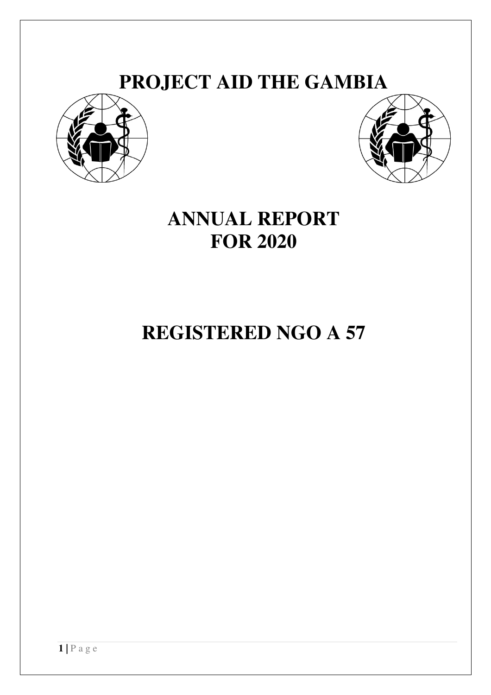# **PROJECT AID THE GAMBIA**





# **ANNUAL REPORT FOR 2020**

# **REGISTERED NGO A 57**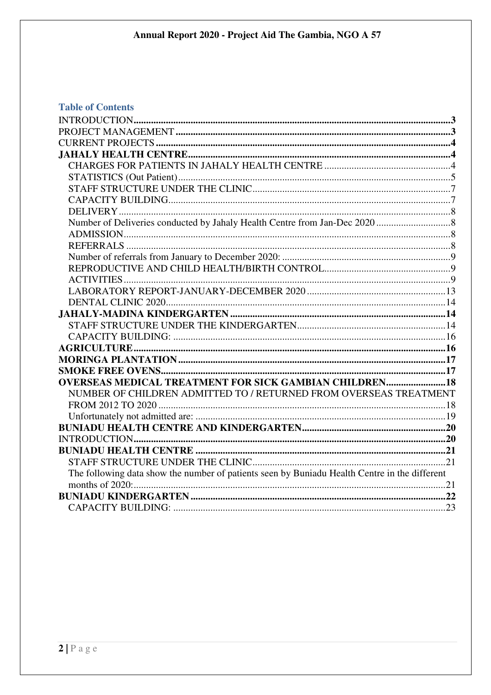# **Table of Contents**

| <b>OVERSEAS MEDICAL TREATMENT FOR SICK GAMBIAN CHILDREN 18</b>                                |  |
|-----------------------------------------------------------------------------------------------|--|
| NUMBER OF CHILDREN ADMITTED TO / RETURNED FROM OVERSEAS TREATMENT                             |  |
|                                                                                               |  |
|                                                                                               |  |
|                                                                                               |  |
| INTRODUCTION 20                                                                               |  |
|                                                                                               |  |
|                                                                                               |  |
| The following data show the number of patients seen by Buniadu Health Centre in the different |  |
|                                                                                               |  |
|                                                                                               |  |
|                                                                                               |  |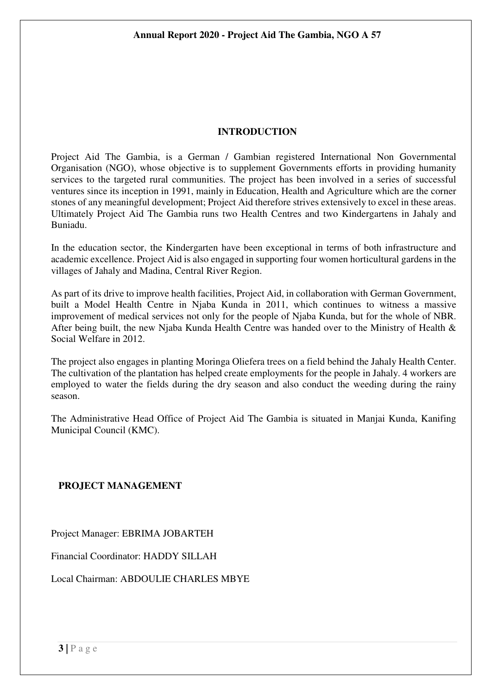#### **INTRODUCTION**

Project Aid The Gambia, is a German / Gambian registered International Non Governmental Organisation (NGO), whose objective is to supplement Governments efforts in providing humanity services to the targeted rural communities. The project has been involved in a series of successful ventures since its inception in 1991, mainly in Education, Health and Agriculture which are the corner stones of any meaningful development; Project Aid therefore strives extensively to excel in these areas. Ultimately Project Aid The Gambia runs two Health Centres and two Kindergartens in Jahaly and Buniadu.

In the education sector, the Kindergarten have been exceptional in terms of both infrastructure and academic excellence. Project Aid is also engaged in supporting four women horticultural gardens in the villages of Jahaly and Madina, Central River Region.

As part of its drive to improve health facilities, Project Aid, in collaboration with German Government, built a Model Health Centre in Njaba Kunda in 2011, which continues to witness a massive improvement of medical services not only for the people of Njaba Kunda, but for the whole of NBR. After being built, the new Njaba Kunda Health Centre was handed over to the Ministry of Health & Social Welfare in 2012.

The project also engages in planting Moringa Oliefera trees on a field behind the Jahaly Health Center. The cultivation of the plantation has helped create employments for the people in Jahaly. 4 workers are employed to water the fields during the dry season and also conduct the weeding during the rainy season.

The Administrative Head Office of Project Aid The Gambia is situated in Manjai Kunda, Kanifing Municipal Council (KMC).

#### **PROJECT MANAGEMENT**

Project Manager: EBRIMA JOBARTEH

Financial Coordinator: HADDY SILLAH

Local Chairman: ABDOULIE CHARLES MBYE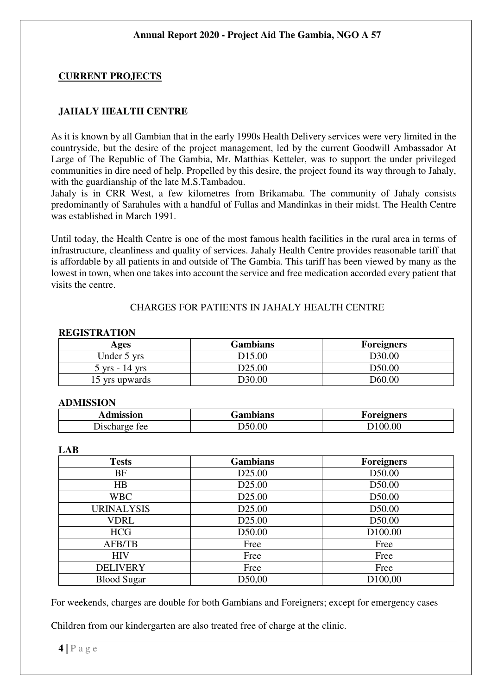# **CURRENT PROJECTS**

#### **JAHALY HEALTH CENTRE**

As it is known by all Gambian that in the early 1990s Health Delivery services were very limited in the countryside, but the desire of the project management, led by the current Goodwill Ambassador At Large of The Republic of The Gambia, Mr. Matthias Ketteler, was to support the under privileged communities in dire need of help. Propelled by this desire, the project found its way through to Jahaly, with the guardianship of the late M.S.Tambadou.

Jahaly is in CRR West, a few kilometres from Brikamaba. The community of Jahaly consists predominantly of Sarahules with a handful of Fullas and Mandinkas in their midst. The Health Centre was established in March 1991.

Until today, the Health Centre is one of the most famous health facilities in the rural area in terms of infrastructure, cleanliness and quality of services. Jahaly Health Centre provides reasonable tariff that is affordable by all patients in and outside of The Gambia. This tariff has been viewed by many as the lowest in town, when one takes into account the service and free medication accorded every patient that visits the centre.

#### CHARGES FOR PATIENTS IN JAHALY HEALTH CENTRE

#### **REGISTRATION**

| Ages                             | Gambians           | <b>Foreigners</b>  |
|----------------------------------|--------------------|--------------------|
| Under 5 yrs                      | D <sub>15.00</sub> | D <sub>30.00</sub> |
| $5 \text{ yrs} - 14 \text{ yrs}$ | D <sub>25.00</sub> | D50.00             |
| 15 yrs upwards                   | D30.00             | D60.00             |

#### **ADMISSION**

| Admission | Gambians | Foreigners |  |  |
|-----------|----------|------------|--|--|
| Discharge | .00      | . $\alpha$ |  |  |
| tee       | 50،      | .00        |  |  |

#### **LAB**

| <b>Tests</b>       | <b>Gambians</b>    | <b>Foreigners</b>   |
|--------------------|--------------------|---------------------|
| BF                 | D <sub>25.00</sub> | D50.00              |
| HB                 | D <sub>25.00</sub> | D50.00              |
| <b>WBC</b>         | D <sub>25.00</sub> | D50.00              |
| <b>URINALYSIS</b>  | D <sub>25.00</sub> | D50.00              |
| VDRL               | D <sub>25.00</sub> | D50.00              |
| <b>HCG</b>         | D50.00             | D <sub>100.00</sub> |
| <b>AFB/TB</b>      | Free               | Free                |
| <b>HIV</b>         | Free               | Free                |
| <b>DELIVERY</b>    | Free               | Free                |
| <b>Blood Sugar</b> | D50,00             | D <sub>100,00</sub> |

For weekends, charges are double for both Gambians and Foreigners; except for emergency cases

Children from our kindergarten are also treated free of charge at the clinic.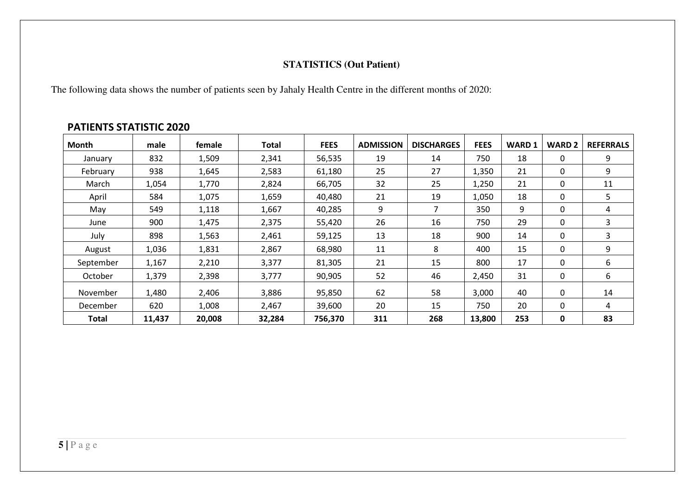# **STATISTICS (Out Patient)**

The following data shows the number of patients seen by Jahaly Health Centre in the different months of 2020:

# **PATIENTS STATISTIC 2020**

| Month        | male   | female | Total  | <b>FEES</b> | <b>ADMISSION</b> | <b>DISCHARGES</b> | <b>FEES</b> | <b>WARD1</b> | <b>WARD 2</b> | <b>REFERRALS</b> |
|--------------|--------|--------|--------|-------------|------------------|-------------------|-------------|--------------|---------------|------------------|
| January      | 832    | 1,509  | 2,341  | 56,535      | 19               | 14                | 750         | 18           | 0             | 9                |
| February     | 938    | 1,645  | 2,583  | 61,180      | 25               | 27                | 1,350       | 21           | 0             | 9                |
| March        | 1,054  | 1,770  | 2,824  | 66,705      | 32               | 25                | 1,250       | 21           | 0             | 11               |
| April        | 584    | 1,075  | 1,659  | 40,480      | 21               | 19                | 1,050       | 18           | 0             | 5                |
| May          | 549    | 1,118  | 1,667  | 40,285      | 9                | 7                 | 350         | 9            | 0             | 4                |
| June         | 900    | 1,475  | 2,375  | 55,420      | 26               | 16                | 750         | 29           | 0             | 3                |
| July         | 898    | 1,563  | 2,461  | 59,125      | 13               | 18                | 900         | 14           | $\mathbf{0}$  | 3                |
| August       | 1,036  | 1,831  | 2,867  | 68,980      | 11               | 8                 | 400         | 15           | 0             | 9                |
| September    | 1,167  | 2,210  | 3,377  | 81,305      | 21               | 15                | 800         | 17           | 0             | 6                |
| October      | 1,379  | 2,398  | 3,777  | 90,905      | 52               | 46                | 2,450       | 31           | 0             | 6                |
| November     | 1,480  | 2,406  | 3,886  | 95,850      | 62               | 58                | 3,000       | 40           | 0             | 14               |
| December     | 620    | 1,008  | 2,467  | 39,600      | 20               | 15                | 750         | 20           | 0             | 4                |
| <b>Total</b> | 11,437 | 20,008 | 32,284 | 756,370     | 311              | 268               | 13,800      | 253          | 0             | 83               |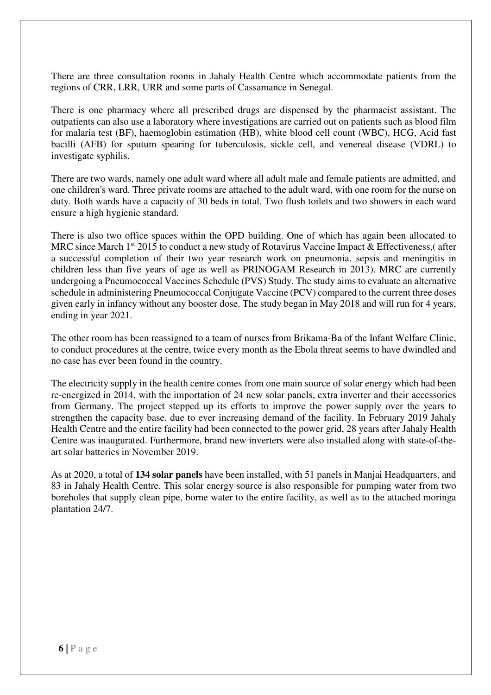There are three consultation rooms in Jahaly Health Centre which accommodate patients from the regions of CRR, LRR, URR and some parts of Cassamance in Senegal.

There is one pharmacy where all prescribed drugs are dispensed by the pharmacist assistant. The outpatients can also use a laboratory where investigations are carried out on patients such as blood film for malaria test (BF), haemoglobin estimation (HB), white blood cell count (WBC), HCG, Acid fast bacilli (AFB) for sputum spearing for tuberculosis, sickle cell, and venereal disease (VDRL) to investigate syphilis.

There are two wards, namely one adult ward where all adult male and female patients are admitted, and one children's ward. Three private rooms are attached to the adult ward, with one room for the nurse on duty. Both wards have a capacity of 30 beds in total. Two flush toilets and two showers in each ward ensure a high hygienic standard.

There is also two office spaces within the OPD building. One of which has again been allocated to MRC since March  $1<sup>st</sup>$  2015 to conduct a new study of Rotavirus Vaccine Impact & Effectiveness,( after a successful completion of their two year research work on pneumonia, sepsis and meningitis in children less than five years of age as well as PRINOGAM Research in 2013). MRC are currently undergoing a Pneumococcal Vaccines Schedule (PVS) Study. The study aims to evaluate an alternative schedule in administering Pneumococcal Conjugate Vaccine (PCV) compared to the current three doses given early in infancy without any booster dose. The study began in May 2018 and will run for 4 years, ending in year 2021.

The other room has been reassigned to a team of nurses from Brikama-Ba of the Infant Welfare Clinic, to conduct procedures at the centre, twice every month as the Ebola threat seems to have dwindled and no case has ever been found in the country.

The electricity supply in the health centre comes from one main source of solar energy which had been re-energized in 2014, with the importation of 24 new solar panels, extra inverter and their accessories from Germany. The project stepped up its efforts to improve the power supply over the years to strengthen the capacity base, due to ever increasing demand of the facility. In February 2019 Jahaly Health Centre and the entire facility had been connected to the power grid, 28 years after Jahaly Health Centre was inaugurated. Furthermore, brand new inverters were also installed along with state-of-theart solar batteries in November 2019.

As at 2020, a total of **134 solar panels** have been installed, with 51 panels in Manjai Headquarters, and 83 in Jahaly Health Centre. This solar energy source is also responsible for pumping water from two boreholes that supply clean pipe, borne water to the entire facility, as well as to the attached moringa plantation 24/7.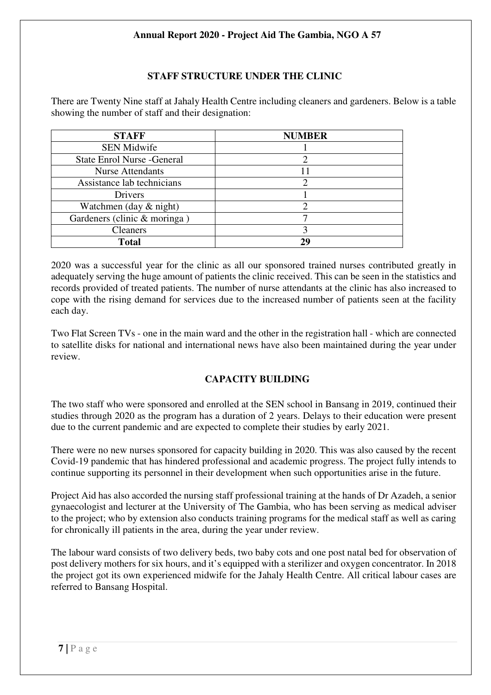# **STAFF STRUCTURE UNDER THE CLINIC**

There are Twenty Nine staff at Jahaly Health Centre including cleaners and gardeners. Below is a table showing the number of staff and their designation:

| <b>STAFF</b>                       | <b>NUMBER</b> |
|------------------------------------|---------------|
| <b>SEN Midwife</b>                 |               |
| <b>State Enrol Nurse - General</b> |               |
| <b>Nurse Attendants</b>            | 11            |
| Assistance lab technicians         |               |
| Drivers                            |               |
| Watchmen (day $\&$ night)          |               |
| Gardeners (clinic & moringa)       |               |
| <b>Cleaners</b>                    |               |
| <b>Total</b>                       | 29            |

2020 was a successful year for the clinic as all our sponsored trained nurses contributed greatly in adequately serving the huge amount of patients the clinic received. This can be seen in the statistics and records provided of treated patients. The number of nurse attendants at the clinic has also increased to cope with the rising demand for services due to the increased number of patients seen at the facility each day.

Two Flat Screen TVs - one in the main ward and the other in the registration hall - which are connected to satellite disks for national and international news have also been maintained during the year under review.

# **CAPACITY BUILDING**

The two staff who were sponsored and enrolled at the SEN school in Bansang in 2019, continued their studies through 2020 as the program has a duration of 2 years. Delays to their education were present due to the current pandemic and are expected to complete their studies by early 2021.

There were no new nurses sponsored for capacity building in 2020. This was also caused by the recent Covid-19 pandemic that has hindered professional and academic progress. The project fully intends to continue supporting its personnel in their development when such opportunities arise in the future.

Project Aid has also accorded the nursing staff professional training at the hands of Dr Azadeh, a senior gynaecologist and lecturer at the University of The Gambia, who has been serving as medical adviser to the project; who by extension also conducts training programs for the medical staff as well as caring for chronically ill patients in the area, during the year under review.

The labour ward consists of two delivery beds, two baby cots and one post natal bed for observation of post delivery mothers for six hours, and it's equipped with a sterilizer and oxygen concentrator. In 2018 the project got its own experienced midwife for the Jahaly Health Centre. All critical labour cases are referred to Bansang Hospital.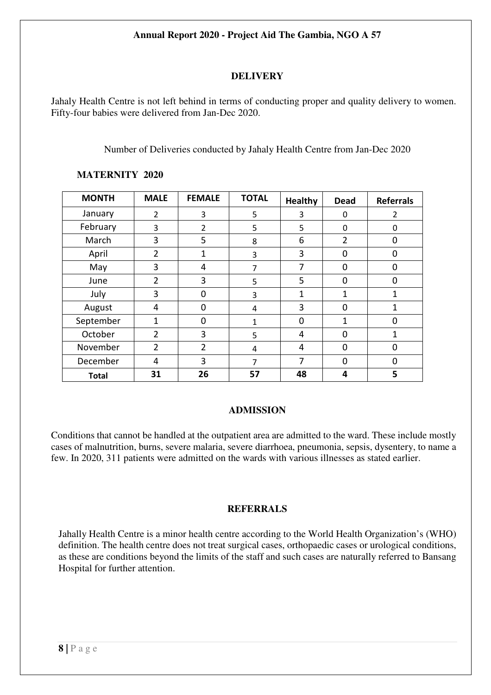# **DELIVERY**

Jahaly Health Centre is not left behind in terms of conducting proper and quality delivery to women. Fifty-four babies were delivered from Jan-Dec 2020.

Number of Deliveries conducted by Jahaly Health Centre from Jan-Dec 2020

| <b>MONTH</b> | <b>MALE</b>    | <b>FEMALE</b>  | <b>TOTAL</b>   | <b>Healthy</b> | <b>Dead</b> | <b>Referrals</b> |
|--------------|----------------|----------------|----------------|----------------|-------------|------------------|
| January      | $\overline{2}$ | 3              | 5              | 3              | 0           | $\overline{2}$   |
| February     | 3              | $\overline{2}$ | 5              | 5              | 0           | 0                |
| March        | 3              | 5              | 8              | 6              | 2           | 0                |
| April        | 2              | 1              | 3              | 3              | 0           | 0                |
| May          | 3              | 4              | $\overline{7}$ | 7              | 0           | 0                |
| June         | $\overline{2}$ | 3              | 5              | 5              | 0           | 0                |
| July         | 3              | $\Omega$       | 3              | 1              | 1           | 1                |
| August       | 4              | $\Omega$       | 4              | 3              | 0           | 1                |
| September    | 1              | $\mathbf 0$    | 1              | $\mathbf 0$    | 1           | $\mathbf 0$      |
| October      | $\overline{2}$ | 3              | 5              | 4              | 0           | $\mathbf{1}$     |
| November     | $\overline{2}$ | $\overline{2}$ | 4              | 4              | 0           | $\mathbf 0$      |
| December     | 4              | 3              | 7              | 7              | $\Omega$    | 0                |
| <b>Total</b> | 31             | 26             | 57             | 48             | 4           | 5                |

# **MATERNITY 2020**

# **ADMISSION**

Conditions that cannot be handled at the outpatient area are admitted to the ward. These include mostly cases of malnutrition, burns, severe malaria, severe diarrhoea, pneumonia, sepsis, dysentery, to name a few. In 2020, 311 patients were admitted on the wards with various illnesses as stated earlier.

# **REFERRALS**

Jahally Health Centre is a minor health centre according to the World Health Organization's (WHO) definition. The health centre does not treat surgical cases, orthopaedic cases or urological conditions, as these are conditions beyond the limits of the staff and such cases are naturally referred to Bansang Hospital for further attention.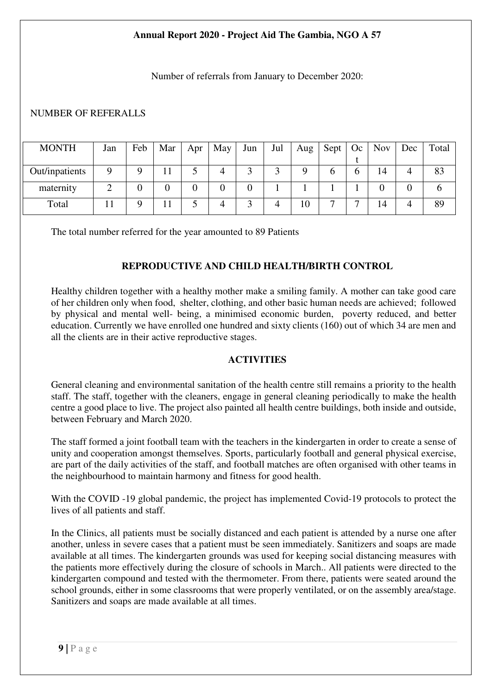Number of referrals from January to December 2020:

#### NUMBER OF REFERALLS

| <b>MONTH</b>   | Jan | Feb | Mar | Apr | May | Jun | Jul | Aug | Sept | Oc | <b>Nov</b> | Dec | Total |
|----------------|-----|-----|-----|-----|-----|-----|-----|-----|------|----|------------|-----|-------|
|                |     |     |     |     |     |     |     |     |      |    |            |     |       |
| Out/inpatients |     | Q   |     |     | 4   |     |     |     |      | O  | 14         | 4   | 83    |
| maternity      |     | 0   | 0   |     |     |     |     |     |      |    |            |     |       |
| Total          |     |     |     |     | 4   |     |     | 10  | –    | −  | 14         |     | 89    |

The total number referred for the year amounted to 89 Patients

# **REPRODUCTIVE AND CHILD HEALTH/BIRTH CONTROL**

Healthy children together with a healthy mother make a smiling family. A mother can take good care of her children only when food, shelter, clothing, and other basic human needs are achieved; followed by physical and mental well- being, a minimised economic burden, poverty reduced, and better education. Currently we have enrolled one hundred and sixty clients (160) out of which 34 are men and all the clients are in their active reproductive stages.

#### **ACTIVITIES**

General cleaning and environmental sanitation of the health centre still remains a priority to the health staff. The staff, together with the cleaners, engage in general cleaning periodically to make the health centre a good place to live. The project also painted all health centre buildings, both inside and outside, between February and March 2020.

The staff formed a joint football team with the teachers in the kindergarten in order to create a sense of unity and cooperation amongst themselves. Sports, particularly football and general physical exercise, are part of the daily activities of the staff, and football matches are often organised with other teams in the neighbourhood to maintain harmony and fitness for good health.

With the COVID -19 global pandemic, the project has implemented Covid-19 protocols to protect the lives of all patients and staff.

In the Clinics, all patients must be socially distanced and each patient is attended by a nurse one after another, unless in severe cases that a patient must be seen immediately. Sanitizers and soaps are made available at all times. The kindergarten grounds was used for keeping social distancing measures with the patients more effectively during the closure of schools in March.. All patients were directed to the kindergarten compound and tested with the thermometer. From there, patients were seated around the school grounds, either in some classrooms that were properly ventilated, or on the assembly area/stage. Sanitizers and soaps are made available at all times.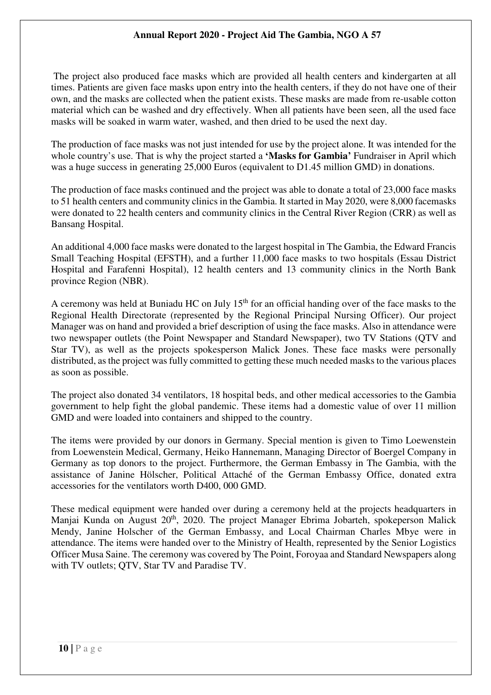The project also produced face masks which are provided all health centers and kindergarten at all times. Patients are given face masks upon entry into the health centers, if they do not have one of their own, and the masks are collected when the patient exists. These masks are made from re-usable cotton material which can be washed and dry effectively. When all patients have been seen, all the used face masks will be soaked in warm water, washed, and then dried to be used the next day.

The production of face masks was not just intended for use by the project alone. It was intended for the whole country's use. That is why the project started a **'Masks for Gambia'** Fundraiser in April which was a huge success in generating 25,000 Euros (equivalent to D1.45 million GMD) in donations.

The production of face masks continued and the project was able to donate a total of 23,000 face masks to 51 health centers and community clinics in the Gambia. It started in May 2020, were 8,000 facemasks were donated to 22 health centers and community clinics in the Central River Region (CRR) as well as Bansang Hospital.

An additional 4,000 face masks were donated to the largest hospital in The Gambia, the Edward Francis Small Teaching Hospital (EFSTH), and a further 11,000 face masks to two hospitals (Essau District Hospital and Farafenni Hospital), 12 health centers and 13 community clinics in the North Bank province Region (NBR).

A ceremony was held at Buniadu HC on July  $15<sup>th</sup>$  for an official handing over of the face masks to the Regional Health Directorate (represented by the Regional Principal Nursing Officer). Our project Manager was on hand and provided a brief description of using the face masks. Also in attendance were two newspaper outlets (the Point Newspaper and Standard Newspaper), two TV Stations (QTV and Star TV), as well as the projects spokesperson Malick Jones. These face masks were personally distributed, as the project was fully committed to getting these much needed masks to the various places as soon as possible.

The project also donated 34 ventilators, 18 hospital beds, and other medical accessories to the Gambia government to help fight the global pandemic. These items had a domestic value of over 11 million GMD and were loaded into containers and shipped to the country.

The items were provided by our donors in Germany. Special mention is given to Timo Loewenstein from Loewenstein Medical, Germany, Heiko Hannemann, Managing Director of Boergel Company in Germany as top donors to the project. Furthermore, the German Embassy in The Gambia, with the assistance of Janine Hölscher, Political Attaché of the German Embassy Office, donated extra accessories for the ventilators worth D400, 000 GMD.

These medical equipment were handed over during a ceremony held at the projects headquarters in Manjai Kunda on August 20<sup>th</sup>, 2020. The project Manager Ebrima Jobarteh, spokeperson Malick Mendy, Janine Holscher of the German Embassy, and Local Chairman Charles Mbye were in attendance. The items were handed over to the Ministry of Health, represented by the Senior Logistics Officer Musa Saine. The ceremony was covered by The Point, Foroyaa and Standard Newspapers along with TV outlets; QTV, Star TV and Paradise TV.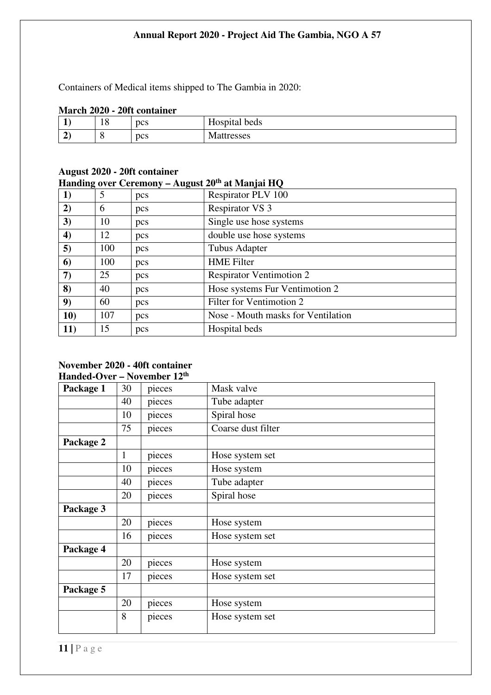Containers of Medical items shipped to The Gambia in 2020:

#### **March 2020 - 20ft container**

| . .             | 18 | pcs | $- -$<br>Hospital beds |
|-----------------|----|-----|------------------------|
| -<br>$\epsilon$ | ◡  | pcs | <b>Mattresses</b>      |

#### **August 2020 - 20ft container Handing over Ceremony – August 20th at Manjai HQ**

|                  |     |     | $\frac{1}{2}$ and $\frac{1}{2}$ over the emong $-\frac{1}{2}$ at $\frac{1}{2}$ at $\frac{1}{2}$ at $\frac{1}{2}$ |
|------------------|-----|-----|------------------------------------------------------------------------------------------------------------------|
| 1)               | 5   | pcs | Respirator PLV 100                                                                                               |
| 2)               | 6   | pcs | <b>Respirator VS 3</b>                                                                                           |
| 3)               | 10  | pcs | Single use hose systems                                                                                          |
| $\boldsymbol{4}$ | 12  | pcs | double use hose systems                                                                                          |
| 5)               | 100 | pcs | <b>Tubus Adapter</b>                                                                                             |
| 6)               | 100 | pcs | <b>HME</b> Filter                                                                                                |
| $\boldsymbol{7}$ | 25  | pcs | <b>Respirator Ventimotion 2</b>                                                                                  |
| 8)               | 40  | pcs | Hose systems Fur Ventimotion 2                                                                                   |
| 9)               | 60  | pcs | Filter for Ventimotion 2                                                                                         |
| 10)              | 107 | pcs | Nose - Mouth masks for Ventilation                                                                               |
| 11)              | 15  | pcs | Hospital beds                                                                                                    |

#### **November 2020 - 40ft container Handed-Over – November 12th**

| muutu viti |    | 1907 СППОСТ 12 |                    |
|------------|----|----------------|--------------------|
| Package 1  | 30 | pieces         | Mask valve         |
|            | 40 | pieces         | Tube adapter       |
|            | 10 | pieces         | Spiral hose        |
|            | 75 | pieces         | Coarse dust filter |
| Package 2  |    |                |                    |
|            | 1  | pieces         | Hose system set    |
|            | 10 | pieces         | Hose system        |
|            | 40 | pieces         | Tube adapter       |
|            | 20 | pieces         | Spiral hose        |
| Package 3  |    |                |                    |
|            | 20 | pieces         | Hose system        |
|            | 16 | pieces         | Hose system set    |
| Package 4  |    |                |                    |
|            | 20 | pieces         | Hose system        |
|            | 17 | pieces         | Hose system set    |
| Package 5  |    |                |                    |
|            | 20 | pieces         | Hose system        |
|            | 8  | pieces         | Hose system set    |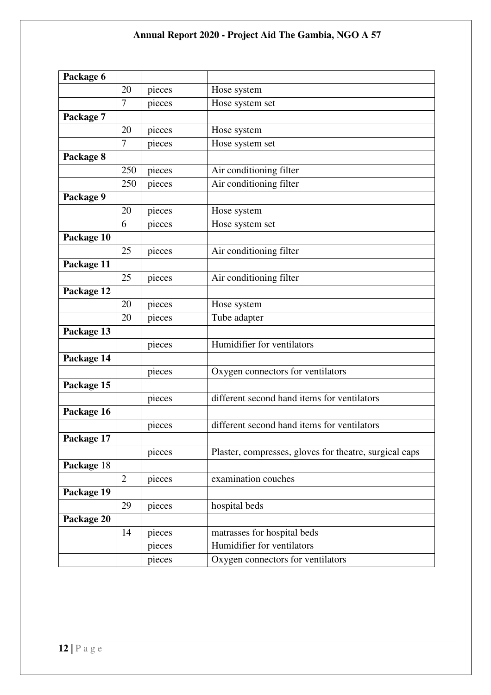| Package 6  |                |        |                                                        |
|------------|----------------|--------|--------------------------------------------------------|
|            | 20             | pieces | Hose system                                            |
|            | 7              | pieces | Hose system set                                        |
| Package 7  |                |        |                                                        |
|            | 20             | pieces | Hose system                                            |
|            | $\overline{7}$ | pieces | Hose system set                                        |
| Package 8  |                |        |                                                        |
|            | 250            | pieces | Air conditioning filter                                |
|            | 250            | pieces | Air conditioning filter                                |
| Package 9  |                |        |                                                        |
|            | 20             | pieces | Hose system                                            |
|            | 6              | pieces | Hose system set                                        |
| Package 10 |                |        |                                                        |
|            | 25             | pieces | Air conditioning filter                                |
| Package 11 |                |        |                                                        |
|            | 25             | pieces | Air conditioning filter                                |
| Package 12 |                |        |                                                        |
|            | 20             | pieces | Hose system                                            |
|            | 20             | pieces | Tube adapter                                           |
| Package 13 |                |        |                                                        |
|            |                | pieces | Humidifier for ventilators                             |
| Package 14 |                |        |                                                        |
|            |                | pieces | Oxygen connectors for ventilators                      |
| Package 15 |                |        |                                                        |
|            |                | pieces | different second hand items for ventilators            |
| Package 16 |                |        |                                                        |
|            |                | pieces | different second hand items for ventilators            |
| Package 17 |                |        |                                                        |
|            |                | pieces | Plaster, compresses, gloves for theatre, surgical caps |
| Package 18 |                |        |                                                        |
|            | $\overline{2}$ | pieces | examination couches                                    |
| Package 19 |                |        |                                                        |
|            | 29             | pieces | hospital beds                                          |
| Package 20 |                |        |                                                        |
|            | 14             | pieces | matrasses for hospital beds                            |
|            |                | pieces | Humidifier for ventilators                             |
|            |                | pieces | Oxygen connectors for ventilators                      |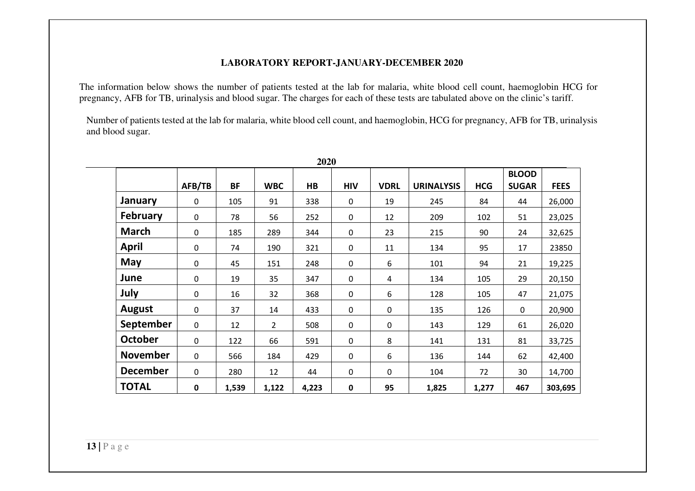#### **LABORATORY REPORT-JANUARY-DECEMBER 2020**

The information below shows the number of patients tested at the lab for malaria, white blood cell count, haemoglobin HCG for pregnancy, AFB for TB, urinalysis and blood sugar. The charges for each of these tests are tabulated above on the clinic's tariff.

Number of patients tested at the lab for malaria, white blood cell count, and haemoglobin, HCG for pregnancy, AFB for TB, urinalysis and blood sugar.

|                 |             |           |                | 2020           |             |                |                   |            |              |             |
|-----------------|-------------|-----------|----------------|----------------|-------------|----------------|-------------------|------------|--------------|-------------|
|                 |             |           |                |                |             |                |                   |            | <b>BLOOD</b> |             |
|                 | AFB/TB      | <b>BF</b> | <b>WBC</b>     | H <sub>B</sub> | <b>HIV</b>  | <b>VDRL</b>    | <b>URINALYSIS</b> | <b>HCG</b> | <b>SUGAR</b> | <b>FEES</b> |
| January         | 0           | 105       | 91             | 338            | $\mathbf 0$ | 19             | 245               | 84         | 44           | 26,000      |
| February        | 0           | 78        | 56             | 252            | $\mathbf 0$ | 12             | 209               | 102        | 51           | 23,025      |
| <b>March</b>    | 0           | 185       | 289            | 344            | $\mathbf 0$ | 23             | 215               | 90         | 24           | 32,625      |
| <b>April</b>    | $\mathbf 0$ | 74        | 190            | 321            | $\pmb{0}$   | 11             | 134               | 95         | 17           | 23850       |
| May             | 0           | 45        | 151            | 248            | $\pmb{0}$   | 6              | 101               | 94         | 21           | 19,225      |
| June            | $\mathbf 0$ | 19        | 35             | 347            | $\mathbf 0$ | $\overline{a}$ | 134               | 105        | 29           | 20,150      |
| July            | 0           | 16        | 32             | 368            | $\mathbf 0$ | 6              | 128               | 105        | 47           | 21,075      |
| <b>August</b>   | $\pmb{0}$   | 37        | 14             | 433            | $\pmb{0}$   | $\pmb{0}$      | 135               | 126        | $\mathbf 0$  | 20,900      |
| September       | $\mathbf 0$ | 12        | $\overline{2}$ | 508            | $\mathbf 0$ | $\mathbf 0$    | 143               | 129        | 61           | 26,020      |
| <b>October</b>  | $\mathbf 0$ | 122       | 66             | 591            | $\pmb{0}$   | 8              | 141               | 131        | 81           | 33,725      |
| <b>November</b> | $\mathbf 0$ | 566       | 184            | 429            | $\pmb{0}$   | 6              | 136               | 144        | 62           | 42,400      |
| <b>December</b> | $\mathbf 0$ | 280       | 12             | 44             | $\pmb{0}$   | $\mathbf 0$    | 104               | 72         | 30           | 14,700      |
| <b>TOTAL</b>    | $\pmb{0}$   | 1,539     | 1,122          | 4,223          | $\bf{0}$    | 95             | 1,825             | 1,277      | 467          | 303,695     |

**2020**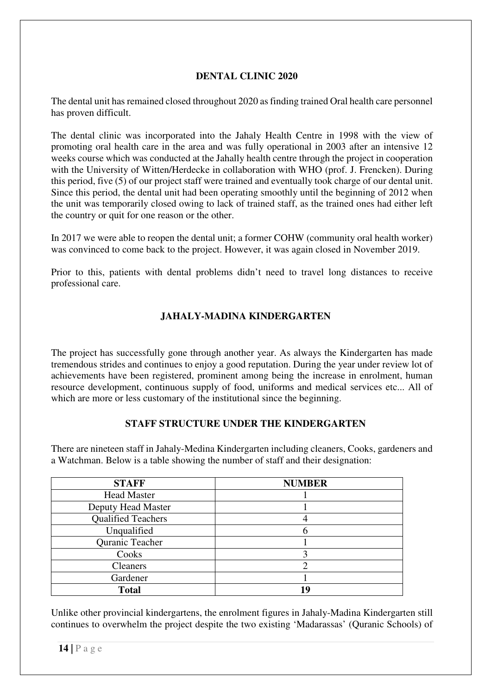# **DENTAL CLINIC 2020**

The dental unit has remained closed throughout 2020 as finding trained Oral health care personnel has proven difficult.

The dental clinic was incorporated into the Jahaly Health Centre in 1998 with the view of promoting oral health care in the area and was fully operational in 2003 after an intensive 12 weeks course which was conducted at the Jahally health centre through the project in cooperation with the University of Witten/Herdecke in collaboration with WHO (prof. J. Frencken). During this period, five (5) of our project staff were trained and eventually took charge of our dental unit. Since this period, the dental unit had been operating smoothly until the beginning of 2012 when the unit was temporarily closed owing to lack of trained staff, as the trained ones had either left the country or quit for one reason or the other.

In 2017 we were able to reopen the dental unit; a former COHW (community oral health worker) was convinced to come back to the project. However, it was again closed in November 2019.

Prior to this, patients with dental problems didn't need to travel long distances to receive professional care.

# **JAHALY-MADINA KINDERGARTEN**

The project has successfully gone through another year. As always the Kindergarten has made tremendous strides and continues to enjoy a good reputation. During the year under review lot of achievements have been registered, prominent among being the increase in enrolment, human resource development, continuous supply of food, uniforms and medical services etc... All of which are more or less customary of the institutional since the beginning.

#### **STAFF STRUCTURE UNDER THE KINDERGARTEN**

There are nineteen staff in Jahaly-Medina Kindergarten including cleaners, Cooks, gardeners and a Watchman. Below is a table showing the number of staff and their designation:

| <b>STAFF</b>              | <b>NUMBER</b> |  |  |  |
|---------------------------|---------------|--|--|--|
| <b>Head Master</b>        |               |  |  |  |
| Deputy Head Master        |               |  |  |  |
| <b>Qualified Teachers</b> |               |  |  |  |
| Unqualified               |               |  |  |  |
| Quranic Teacher           |               |  |  |  |
| Cooks                     |               |  |  |  |
| <b>Cleaners</b>           |               |  |  |  |
| Gardener                  |               |  |  |  |
| <b>Total</b>              | 19            |  |  |  |

Unlike other provincial kindergartens, the enrolment figures in Jahaly-Madina Kindergarten still continues to overwhelm the project despite the two existing 'Madarassas' (Quranic Schools) of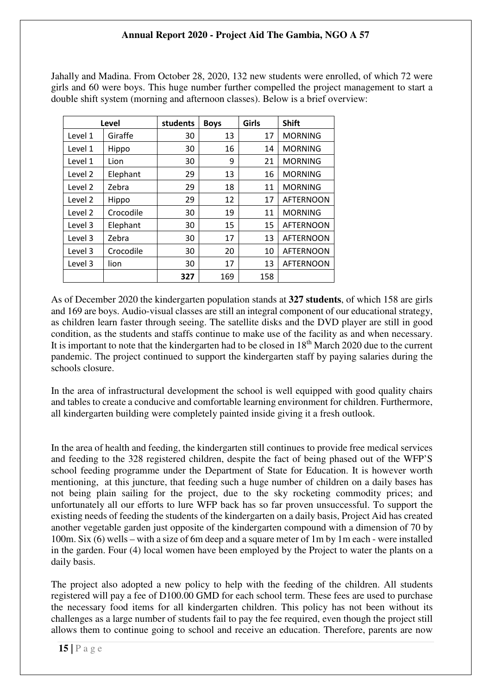Jahally and Madina. From October 28, 2020, 132 new students were enrolled, of which 72 were girls and 60 were boys. This huge number further compelled the project management to start a double shift system (morning and afternoon classes). Below is a brief overview:

|         | Level     | students | <b>Boys</b> | Girls | <b>Shift</b>     |
|---------|-----------|----------|-------------|-------|------------------|
| Level 1 | Giraffe   | 30       | 13          | 17    | <b>MORNING</b>   |
| Level 1 | Hippo     | 30       | 16          | 14    | <b>MORNING</b>   |
| Level 1 | Lion      | 30       | 9           | 21    | <b>MORNING</b>   |
| Level 2 | Elephant  | 29       | 13          | 16    | <b>MORNING</b>   |
| Level 2 | Zebra     | 29       | 18          | 11    | <b>MORNING</b>   |
| Level 2 | Hippo     | 29       | 12          | 17    | <b>AFTERNOON</b> |
| Level 2 | Crocodile | 30       | 19          | 11    | <b>MORNING</b>   |
| Level 3 | Elephant  | 30       | 15          | 15    | <b>AFTERNOON</b> |
| Level 3 | Zebra     | 30       | 17          | 13    | <b>AFTERNOON</b> |
| Level 3 | Crocodile | 30       | 20          | 10    | <b>AFTERNOON</b> |
| Level 3 | lion      | 30       | 17          | 13    | <b>AFTERNOON</b> |
|         |           | 327      | 169         | 158   |                  |

As of December 2020 the kindergarten population stands at **327 students**, of which 158 are girls and 169 are boys. Audio-visual classes are still an integral component of our educational strategy, as children learn faster through seeing. The satellite disks and the DVD player are still in good condition, as the students and staffs continue to make use of the facility as and when necessary. It is important to note that the kindergarten had to be closed in 18<sup>th</sup> March 2020 due to the current pandemic. The project continued to support the kindergarten staff by paying salaries during the schools closure.

In the area of infrastructural development the school is well equipped with good quality chairs and tables to create a conducive and comfortable learning environment for children. Furthermore, all kindergarten building were completely painted inside giving it a fresh outlook.

In the area of health and feeding, the kindergarten still continues to provide free medical services and feeding to the 328 registered children, despite the fact of being phased out of the WFP'S school feeding programme under the Department of State for Education. It is however worth mentioning, at this juncture, that feeding such a huge number of children on a daily bases has not being plain sailing for the project, due to the sky rocketing commodity prices; and unfortunately all our efforts to lure WFP back has so far proven unsuccessful. To support the existing needs of feeding the students of the kindergarten on a daily basis, Project Aid has created another vegetable garden just opposite of the kindergarten compound with a dimension of 70 by 100m. Six (6) wells – with a size of 6m deep and a square meter of 1m by 1m each - were installed in the garden. Four (4) local women have been employed by the Project to water the plants on a daily basis.

The project also adopted a new policy to help with the feeding of the children. All students registered will pay a fee of D100.00 GMD for each school term. These fees are used to purchase the necessary food items for all kindergarten children. This policy has not been without its challenges as a large number of students fail to pay the fee required, even though the project still allows them to continue going to school and receive an education. Therefore, parents are now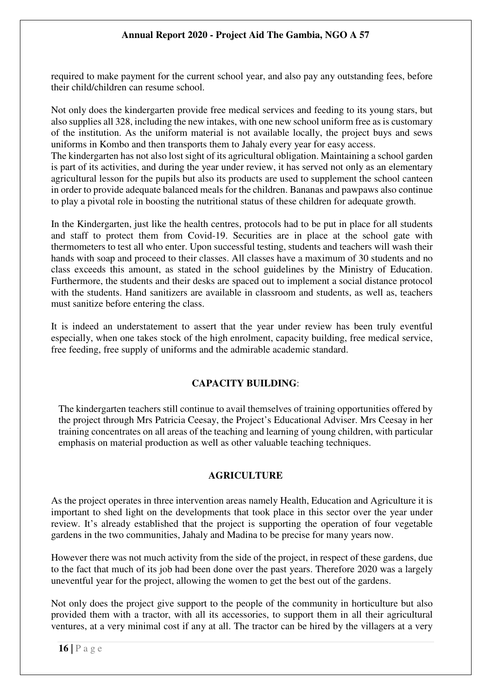required to make payment for the current school year, and also pay any outstanding fees, before their child/children can resume school.

Not only does the kindergarten provide free medical services and feeding to its young stars, but also supplies all 328, including the new intakes, with one new school uniform free as is customary of the institution. As the uniform material is not available locally, the project buys and sews uniforms in Kombo and then transports them to Jahaly every year for easy access.

The kindergarten has not also lost sight of its agricultural obligation. Maintaining a school garden is part of its activities, and during the year under review, it has served not only as an elementary agricultural lesson for the pupils but also its products are used to supplement the school canteen in order to provide adequate balanced meals for the children. Bananas and pawpaws also continue to play a pivotal role in boosting the nutritional status of these children for adequate growth.

In the Kindergarten, just like the health centres, protocols had to be put in place for all students and staff to protect them from Covid-19. Securities are in place at the school gate with thermometers to test all who enter. Upon successful testing, students and teachers will wash their hands with soap and proceed to their classes. All classes have a maximum of 30 students and no class exceeds this amount, as stated in the school guidelines by the Ministry of Education. Furthermore, the students and their desks are spaced out to implement a social distance protocol with the students. Hand sanitizers are available in classroom and students, as well as, teachers must sanitize before entering the class.

It is indeed an understatement to assert that the year under review has been truly eventful especially, when one takes stock of the high enrolment, capacity building, free medical service, free feeding, free supply of uniforms and the admirable academic standard.

#### **CAPACITY BUILDING**:

The kindergarten teachers still continue to avail themselves of training opportunities offered by the project through Mrs Patricia Ceesay, the Project's Educational Adviser. Mrs Ceesay in her training concentrates on all areas of the teaching and learning of young children, with particular emphasis on material production as well as other valuable teaching techniques.

#### **AGRICULTURE**

As the project operates in three intervention areas namely Health, Education and Agriculture it is important to shed light on the developments that took place in this sector over the year under review. It's already established that the project is supporting the operation of four vegetable gardens in the two communities, Jahaly and Madina to be precise for many years now.

However there was not much activity from the side of the project, in respect of these gardens, due to the fact that much of its job had been done over the past years. Therefore 2020 was a largely uneventful year for the project, allowing the women to get the best out of the gardens.

Not only does the project give support to the people of the community in horticulture but also provided them with a tractor, with all its accessories, to support them in all their agricultural ventures, at a very minimal cost if any at all. The tractor can be hired by the villagers at a very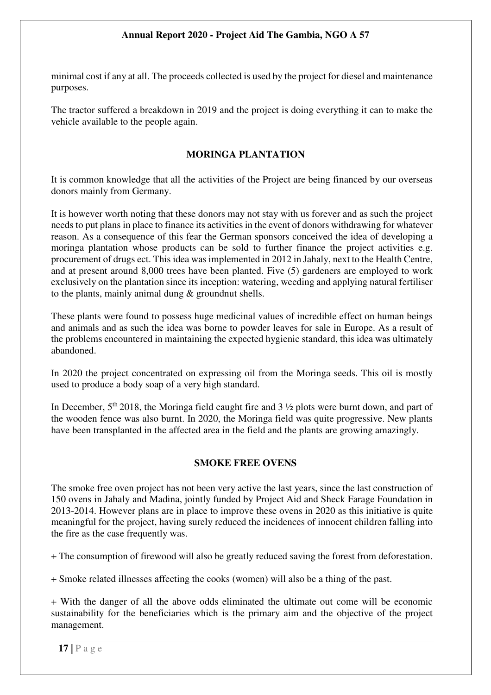minimal cost if any at all. The proceeds collected is used by the project for diesel and maintenance purposes.

The tractor suffered a breakdown in 2019 and the project is doing everything it can to make the vehicle available to the people again.

#### **MORINGA PLANTATION**

It is common knowledge that all the activities of the Project are being financed by our overseas donors mainly from Germany.

It is however worth noting that these donors may not stay with us forever and as such the project needs to put plans in place to finance its activities in the event of donors withdrawing for whatever reason. As a consequence of this fear the German sponsors conceived the idea of developing a moringa plantation whose products can be sold to further finance the project activities e.g. procurement of drugs ect. This idea was implemented in 2012 in Jahaly, next to the Health Centre, and at present around 8,000 trees have been planted. Five (5) gardeners are employed to work exclusively on the plantation since its inception: watering, weeding and applying natural fertiliser to the plants, mainly animal dung & groundnut shells.

These plants were found to possess huge medicinal values of incredible effect on human beings and animals and as such the idea was borne to powder leaves for sale in Europe. As a result of the problems encountered in maintaining the expected hygienic standard, this idea was ultimately abandoned.

In 2020 the project concentrated on expressing oil from the Moringa seeds. This oil is mostly used to produce a body soap of a very high standard.

In December,  $5<sup>th</sup> 2018$ , the Moringa field caught fire and 3  $\frac{1}{2}$  plots were burnt down, and part of the wooden fence was also burnt. In 2020, the Moringa field was quite progressive. New plants have been transplanted in the affected area in the field and the plants are growing amazingly.

#### **SMOKE FREE OVENS**

The smoke free oven project has not been very active the last years, since the last construction of 150 ovens in Jahaly and Madina, jointly funded by Project Aid and Sheck Farage Foundation in 2013-2014. However plans are in place to improve these ovens in 2020 as this initiative is quite meaningful for the project, having surely reduced the incidences of innocent children falling into the fire as the case frequently was.

+ The consumption of firewood will also be greatly reduced saving the forest from deforestation.

+ Smoke related illnesses affecting the cooks (women) will also be a thing of the past.

+ With the danger of all the above odds eliminated the ultimate out come will be economic sustainability for the beneficiaries which is the primary aim and the objective of the project management.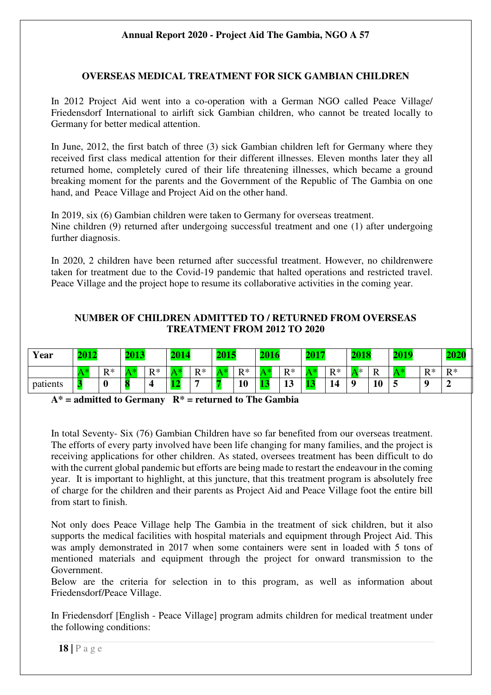#### **OVERSEAS MEDICAL TREATMENT FOR SICK GAMBIAN CHILDREN**

In 2012 Project Aid went into a co-operation with a German NGO called Peace Village/ Friedensdorf International to airlift sick Gambian children, who cannot be treated locally to Germany for better medical attention.

In June, 2012, the first batch of three (3) sick Gambian children left for Germany where they received first class medical attention for their different illnesses. Eleven months later they all returned home, completely cured of their life threatening illnesses, which became a ground breaking moment for the parents and the Government of the Republic of The Gambia on one hand, and Peace Village and Project Aid on the other hand.

In 2019, six (6) Gambian children were taken to Germany for overseas treatment. Nine children (9) returned after undergoing successful treatment and one (1) after undergoing further diagnosis.

In 2020, 2 children have been returned after successful treatment. However, no childrenwere taken for treatment due to the Covid-19 pandemic that halted operations and restricted travel. Peace Village and the project hope to resume its collaborative activities in the coming year.

#### **NUMBER OF CHILDREN ADMITTED TO / RETURNED FROM OVERSEAS TREATMENT FROM 2012 TO 2020**

| Year     | 2012 |                     | 2013 |           | 2014 |       | <b>2015</b> |       | 2016 |          | 2017 |       | 2018 |    | 2019 |       |                     |
|----------|------|---------------------|------|-----------|------|-------|-------------|-------|------|----------|------|-------|------|----|------|-------|---------------------|
|          |      | $\mathbf{p} *$<br>- |      | $R*$<br>v |      | $R^*$ |             | $R^*$ | 人*   | $R^*$    |      | $R^*$ | ∧ *  | R  |      | $R^*$ | $\mathbf{p} *$<br>. |
| patients |      | υ                   |      |           |      | -     |             | 10    |      | 11<br>πJ |      | 14    | 0    | 10 |      |       |                     |

**A\* = admitted to Germany R\* = returned to The Gambia** 

In total Seventy- Six (76) Gambian Children have so far benefited from our overseas treatment. The efforts of every party involved have been life changing for many families, and the project is receiving applications for other children. As stated, oversees treatment has been difficult to do with the current global pandemic but efforts are being made to restart the endeavour in the coming year. It is important to highlight, at this juncture, that this treatment program is absolutely free of charge for the children and their parents as Project Aid and Peace Village foot the entire bill from start to finish.

Not only does Peace Village help The Gambia in the treatment of sick children, but it also supports the medical facilities with hospital materials and equipment through Project Aid. This was amply demonstrated in 2017 when some containers were sent in loaded with 5 tons of mentioned materials and equipment through the project for onward transmission to the Government.

Below are the criteria for selection in to this program, as well as information about Friedensdorf/Peace Village.

In Friedensdorf [English - Peace Village] program admits children for medical treatment under the following conditions: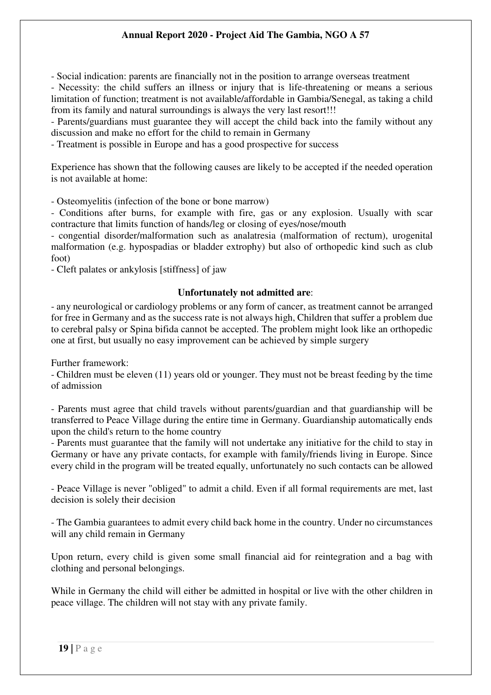- Social indication: parents are financially not in the position to arrange overseas treatment

- Necessity: the child suffers an illness or injury that is life-threatening or means a serious limitation of function; treatment is not available/affordable in Gambia/Senegal, as taking a child from its family and natural surroundings is always the very last resort!!!

- Parents/guardians must guarantee they will accept the child back into the family without any discussion and make no effort for the child to remain in Germany

- Treatment is possible in Europe and has a good prospective for success

Experience has shown that the following causes are likely to be accepted if the needed operation is not available at home:

- Osteomyelitis (infection of the bone or bone marrow)

- Conditions after burns, for example with fire, gas or any explosion. Usually with scar contracture that limits function of hands/leg or closing of eyes/nose/mouth

- congential disorder/malformation such as analatresia (malformation of rectum), urogenital malformation (e.g. hypospadias or bladder extrophy) but also of orthopedic kind such as club foot)

- Cleft palates or ankylosis [stiffness] of jaw

#### **Unfortunately not admitted are**:

- any neurological or cardiology problems or any form of cancer, as treatment cannot be arranged for free in Germany and as the success rate is not always high, Children that suffer a problem due to cerebral palsy or Spina bifida cannot be accepted. The problem might look like an orthopedic one at first, but usually no easy improvement can be achieved by simple surgery

Further framework:

- Children must be eleven (11) years old or younger. They must not be breast feeding by the time of admission

- Parents must agree that child travels without parents/guardian and that guardianship will be transferred to Peace Village during the entire time in Germany. Guardianship automatically ends upon the child's return to the home country

- Parents must guarantee that the family will not undertake any initiative for the child to stay in Germany or have any private contacts, for example with family/friends living in Europe. Since every child in the program will be treated equally, unfortunately no such contacts can be allowed

- Peace Village is never "obliged" to admit a child. Even if all formal requirements are met, last decision is solely their decision

- The Gambia guarantees to admit every child back home in the country. Under no circumstances will any child remain in Germany

Upon return, every child is given some small financial aid for reintegration and a bag with clothing and personal belongings.

While in Germany the child will either be admitted in hospital or live with the other children in peace village. The children will not stay with any private family.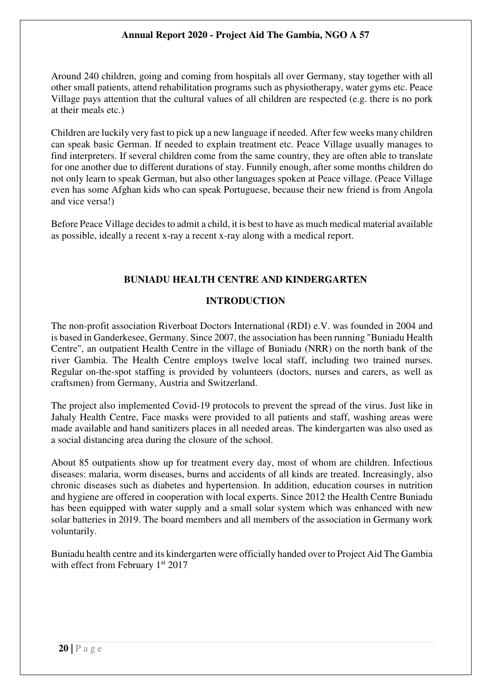Around 240 children, going and coming from hospitals all over Germany, stay together with all other small patients, attend rehabilitation programs such as physiotherapy, water gyms etc. Peace Village pays attention that the cultural values of all children are respected (e.g. there is no pork at their meals etc.)

Children are luckily very fast to pick up a new language if needed. After few weeks many children can speak basic German. If needed to explain treatment etc. Peace Village usually manages to find interpreters. If several children come from the same country, they are often able to translate for one another due to different durations of stay. Funnily enough, after some months children do not only learn to speak German, but also other languages spoken at Peace village. (Peace Village even has some Afghan kids who can speak Portuguese, because their new friend is from Angola and vice versa!)

Before Peace Village decides to admit a child, it is best to have as much medical material available as possible, ideally a recent x-ray a recent x-ray along with a medical report.

# **BUNIADU HEALTH CENTRE AND KINDERGARTEN**

# **INTRODUCTION**

The non-profit association Riverboat Doctors International (RDI) e.V. was founded in 2004 and is based in Ganderkesee, Germany. Since 2007, the association has been running "Buniadu Health Centre", an outpatient Health Centre in the village of Buniadu (NRR) on the north bank of the river Gambia. The Health Centre employs twelve local staff, including two trained nurses. Regular on-the-spot staffing is provided by volunteers (doctors, nurses and carers, as well as craftsmen) from Germany, Austria and Switzerland.

The project also implemented Covid-19 protocols to prevent the spread of the virus. Just like in Jahaly Health Centre, Face masks were provided to all patients and staff, washing areas were made available and hand sanitizers places in all needed areas. The kindergarten was also used as a social distancing area during the closure of the school.

About 85 outpatients show up for treatment every day, most of whom are children. Infectious diseases: malaria, worm diseases, burns and accidents of all kinds are treated. Increasingly, also chronic diseases such as diabetes and hypertension. In addition, education courses in nutrition and hygiene are offered in cooperation with local experts. Since 2012 the Health Centre Buniadu has been equipped with water supply and a small solar system which was enhanced with new solar batteries in 2019. The board members and all members of the association in Germany work voluntarily.

Buniadu health centre and its kindergarten were officially handed over to Project Aid The Gambia with effect from February 1<sup>st</sup> 2017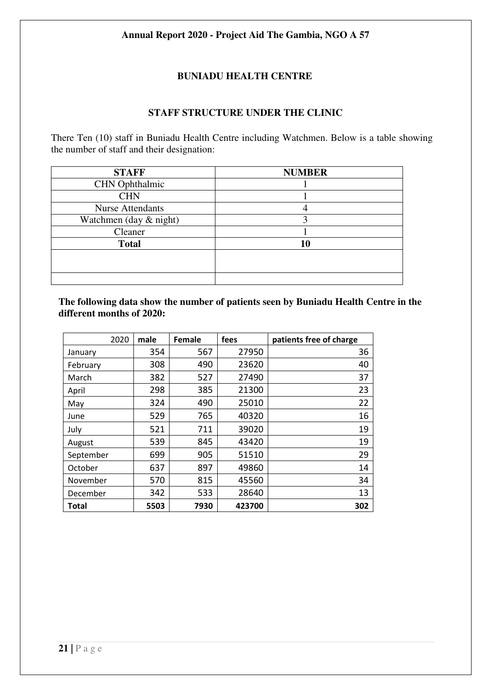# **BUNIADU HEALTH CENTRE**

#### **STAFF STRUCTURE UNDER THE CLINIC**

There Ten (10) staff in Buniadu Health Centre including Watchmen. Below is a table showing the number of staff and their designation:

| <b>STAFF</b>             | <b>NUMBER</b> |
|--------------------------|---------------|
| <b>CHN</b> Ophthalmic    |               |
| <b>CHN</b>               |               |
| <b>Nurse Attendants</b>  |               |
| Watchmen (day $&$ night) |               |
| Cleaner                  |               |
| <b>Total</b>             | 10            |
|                          |               |
|                          |               |
|                          |               |

**The following data show the number of patients seen by Buniadu Health Centre in the different months of 2020:** 

| 2020      | male | <b>Female</b> | fees   | patients free of charge |
|-----------|------|---------------|--------|-------------------------|
| January   | 354  | 567           | 27950  | 36                      |
| February  | 308  | 490           | 23620  | 40                      |
| March     | 382  | 527           | 27490  | 37                      |
| April     | 298  | 385           | 21300  | 23                      |
| May       | 324  | 490           | 25010  | 22                      |
| June      | 529  | 765           | 40320  | 16                      |
| July      | 521  | 711           | 39020  | 19                      |
| August    | 539  | 845           | 43420  | 19                      |
| September | 699  | 905           | 51510  | 29                      |
| October   | 637  | 897           | 49860  | 14                      |
| November  | 570  | 815           | 45560  | 34                      |
| December  | 342  | 533           | 28640  | 13                      |
| Total     | 5503 | 7930          | 423700 | 302                     |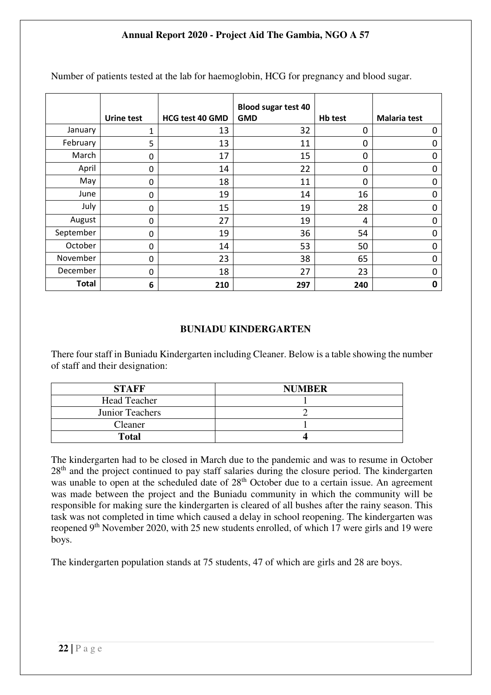|              | <b>Urine test</b> | <b>HCG test 40 GMD</b> | <b>Blood sugar test 40</b><br><b>GMD</b> | Hb test     | <b>Malaria test</b> |
|--------------|-------------------|------------------------|------------------------------------------|-------------|---------------------|
| January      | 1                 | 13                     | 32                                       | 0           | 0                   |
| February     | 5                 | 13                     | 11                                       | $\mathbf 0$ | 0                   |
| March        | 0                 | 17                     | 15                                       | 0           | 0                   |
| April        | 0                 | 14                     | 22                                       | 0           | 0                   |
| May          | 0                 | 18                     | 11                                       | 0           | 0                   |
| June         | 0                 | 19                     | 14                                       | 16          | 0                   |
| July         | 0                 | 15                     | 19                                       | 28          | 0                   |
| August       | 0                 | 27                     | 19                                       | 4           | 0                   |
| September    | 0                 | 19                     | 36                                       | 54          | 0                   |
| October      | 0                 | 14                     | 53                                       | 50          | $\Omega$            |
| November     | 0                 | 23                     | 38                                       | 65          | 0                   |
| December     | 0                 | 18                     | 27                                       | 23          | 0                   |
| <b>Total</b> | 6                 | 210                    | 297                                      | 240         | 0                   |

Number of patients tested at the lab for haemoglobin, HCG for pregnancy and blood sugar.

#### **BUNIADU KINDERGARTEN**

There four staff in Buniadu Kindergarten including Cleaner. Below is a table showing the number of staff and their designation:

| <b>STAFF</b>        | <b>NUMBER</b> |
|---------------------|---------------|
| <b>Head Teacher</b> |               |
| Junior Teachers     |               |
| Cleaner             |               |
| <b>Total</b>        |               |

The kindergarten had to be closed in March due to the pandemic and was to resume in October 28<sup>th</sup> and the project continued to pay staff salaries during the closure period. The kindergarten was unable to open at the scheduled date of 28<sup>th</sup> October due to a certain issue. An agreement was made between the project and the Buniadu community in which the community will be responsible for making sure the kindergarten is cleared of all bushes after the rainy season. This task was not completed in time which caused a delay in school reopening. The kindergarten was reopened 9<sup>th</sup> November 2020, with 25 new students enrolled, of which 17 were girls and 19 were boys.

The kindergarten population stands at 75 students, 47 of which are girls and 28 are boys.